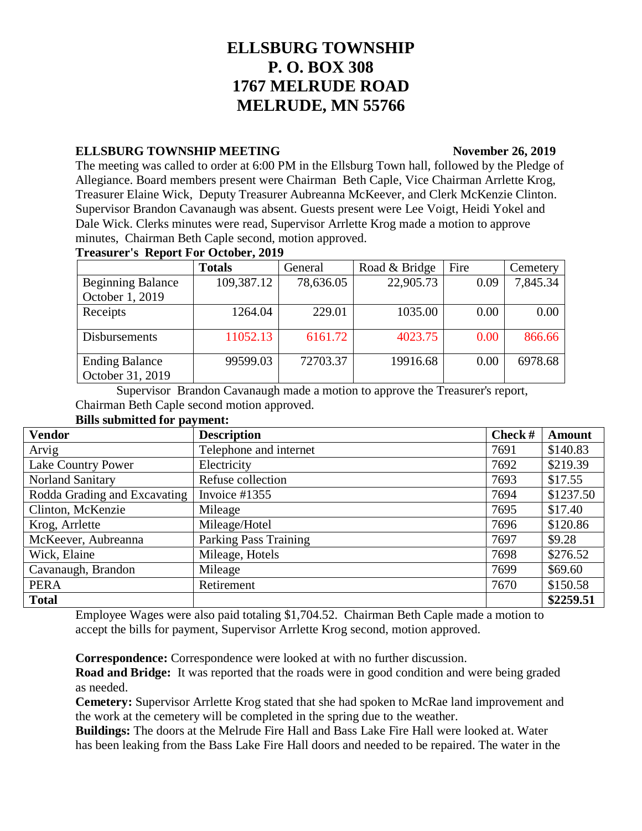# **ELLSBURG TOWNSHIP P. O. BOX 308 1767 MELRUDE ROAD MELRUDE, MN 55766**

### **ELLSBURG TOWNSHIP MEETING November 26, 2019**

The meeting was called to order at 6:00 PM in the Ellsburg Town hall, followed by the Pledge of Allegiance. Board members present were Chairman Beth Caple, Vice Chairman Arrlette Krog, Treasurer Elaine Wick, Deputy Treasurer Aubreanna McKeever, and Clerk McKenzie Clinton. Supervisor Brandon Cavanaugh was absent. Guests present were Lee Voigt, Heidi Yokel and Dale Wick. Clerks minutes were read, Supervisor Arrlette Krog made a motion to approve minutes, Chairman Beth Caple second, motion approved.

### **Treasurer's Report For October, 2019**

|                          | <b>Totals</b> | General   | Road & Bridge | Fire | Cemetery |
|--------------------------|---------------|-----------|---------------|------|----------|
| <b>Beginning Balance</b> | 109,387.12    | 78,636.05 | 22,905.73     | 0.09 | 7,845.34 |
| October 1, 2019          |               |           |               |      |          |
| Receipts                 | 1264.04       | 229.01    | 1035.00       | 0.00 | 0.00     |
|                          |               |           |               |      |          |
| <b>Disbursements</b>     | 11052.13      | 6161.72   | 4023.75       | 0.00 | 866.66   |
|                          |               |           |               |      |          |
| <b>Ending Balance</b>    | 99599.03      | 72703.37  | 19916.68      | 0.00 | 6978.68  |
| October 31, 2019         |               |           |               |      |          |

Supervisor Brandon Cavanaugh made a motion to approve the Treasurer's report, Chairman Beth Caple second motion approved.

### **Bills submitted for payment:**

| <b>Vendor</b>                | <b>Description</b>           | Check# | <b>Amount</b> |
|------------------------------|------------------------------|--------|---------------|
| Arvig                        | Telephone and internet       | 7691   | \$140.83      |
| Lake Country Power           | Electricity                  | 7692   | \$219.39      |
| Norland Sanitary             | Refuse collection            | 7693   | \$17.55       |
| Rodda Grading and Excavating | Invoice #1355                | 7694   | \$1237.50     |
| Clinton, McKenzie            | Mileage                      | 7695   | \$17.40       |
| Krog, Arrlette               | Mileage/Hotel                | 7696   | \$120.86      |
| McKeever, Aubreanna          | <b>Parking Pass Training</b> | 7697   | \$9.28        |
| Wick, Elaine                 | Mileage, Hotels              | 7698   | \$276.52      |
| Cavanaugh, Brandon           | Mileage                      | 7699   | \$69.60       |
| <b>PERA</b>                  | Retirement                   | 7670   | \$150.58      |
| <b>Total</b>                 |                              |        | \$2259.51     |

Employee Wages were also paid totaling \$1,704.52. Chairman Beth Caple made a motion to accept the bills for payment, Supervisor Arrlette Krog second, motion approved.

**Correspondence:** Correspondence were looked at with no further discussion.

**Road and Bridge:** It was reported that the roads were in good condition and were being graded as needed.

**Cemetery:** Supervisor Arrlette Krog stated that she had spoken to McRae land improvement and the work at the cemetery will be completed in the spring due to the weather.

**Buildings:** The doors at the Melrude Fire Hall and Bass Lake Fire Hall were looked at. Water has been leaking from the Bass Lake Fire Hall doors and needed to be repaired. The water in the